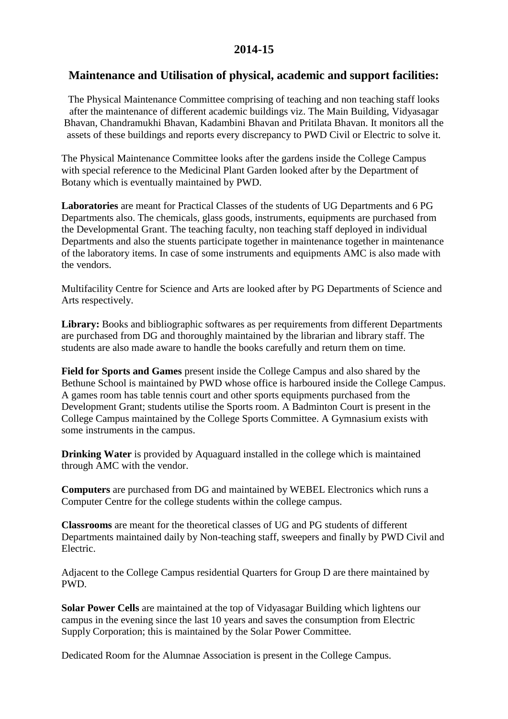## **2014-15**

## **Maintenance and Utilisation of physical, academic and support facilities:**

The Physical Maintenance Committee comprising of teaching and non teaching staff looks after the maintenance of different academic buildings viz. The Main Building, Vidyasagar Bhavan, Chandramukhi Bhavan, Kadambini Bhavan and Pritilata Bhavan. It monitors all the assets of these buildings and reports every discrepancy to PWD Civil or Electric to solve it.

The Physical Maintenance Committee looks after the gardens inside the College Campus with special reference to the Medicinal Plant Garden looked after by the Department of Botany which is eventually maintained by PWD.

**Laboratories** are meant for Practical Classes of the students of UG Departments and 6 PG Departments also. The chemicals, glass goods, instruments, equipments are purchased from the Developmental Grant. The teaching faculty, non teaching staff deployed in individual Departments and also the stuents participate together in maintenance together in maintenance of the laboratory items. In case of some instruments and equipments AMC is also made with the vendors.

Multifacility Centre for Science and Arts are looked after by PG Departments of Science and Arts respectively.

**Library:** Books and bibliographic softwares as per requirements from different Departments are purchased from DG and thoroughly maintained by the librarian and library staff. The students are also made aware to handle the books carefully and return them on time.

**Field for Sports and Games** present inside the College Campus and also shared by the Bethune School is maintained by PWD whose office is harboured inside the College Campus. A games room has table tennis court and other sports equipments purchased from the Development Grant; students utilise the Sports room. A Badminton Court is present in the College Campus maintained by the College Sports Committee. A Gymnasium exists with some instruments in the campus.

**Drinking Water** is provided by Aquaguard installed in the college which is maintained through AMC with the vendor.

**Computers** are purchased from DG and maintained by WEBEL Electronics which runs a Computer Centre for the college students within the college campus.

**Classrooms** are meant for the theoretical classes of UG and PG students of different Departments maintained daily by Non-teaching staff, sweepers and finally by PWD Civil and Electric.

Adjacent to the College Campus residential Quarters for Group D are there maintained by PWD.

**Solar Power Cells** are maintained at the top of Vidyasagar Building which lightens our campus in the evening since the last 10 years and saves the consumption from Electric Supply Corporation; this is maintained by the Solar Power Committee.

Dedicated Room for the Alumnae Association is present in the College Campus.